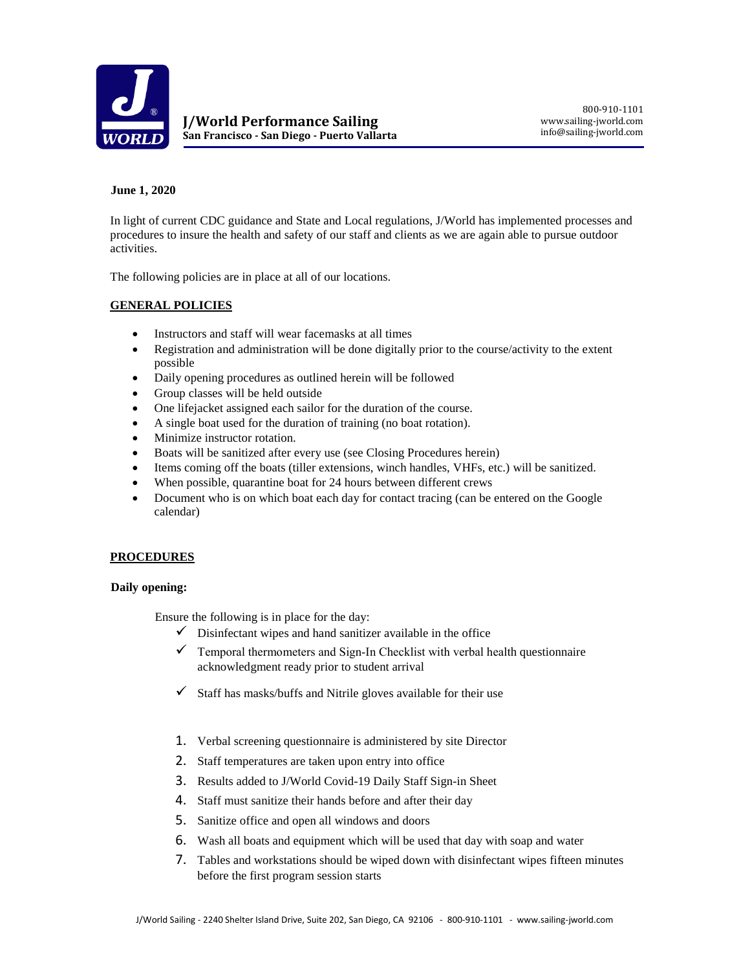

# **June 1, 2020**

In light of current CDC guidance and State and Local regulations, J/World has implemented processes and procedures to insure the health and safety of our staff and clients as we are again able to pursue outdoor activities.

The following policies are in place at all of our locations.

# **GENERAL POLICIES**

- Instructors and staff will wear facemasks at all times
- Registration and administration will be done digitally prior to the course/activity to the extent possible
- Daily opening procedures as outlined herein will be followed
- Group classes will be held outside
- One lifejacket assigned each sailor for the duration of the course.
- A single boat used for the duration of training (no boat rotation).
- Minimize instructor rotation.
- Boats will be sanitized after every use (see Closing Procedures herein)
- Items coming off the boats (tiller extensions, winch handles, VHFs, etc.) will be sanitized.
- When possible, quarantine boat for 24 hours between different crews
- Document who is on which boat each day for contact tracing (can be entered on the Google calendar)

### **PROCEDURES**

### **Daily opening:**

Ensure the following is in place for the day:

- $\checkmark$  Disinfectant wipes and hand sanitizer available in the office
- $\checkmark$  Temporal thermometers and Sign-In Checklist with verbal health questionnaire acknowledgment ready prior to student arrival
- $\checkmark$  Staff has masks/buffs and Nitrile gloves available for their use
- 1. Verbal screening questionnaire is administered by site Director
- 2. Staff temperatures are taken upon entry into office
- 3. Results added to J/World Covid-19 Daily Staff Sign-in Sheet
- 4. Staff must sanitize their hands before and after their day
- 5. Sanitize office and open all windows and doors
- 6. Wash all boats and equipment which will be used that day with soap and water
- 7. Tables and workstations should be wiped down with disinfectant wipes fifteen minutes before the first program session starts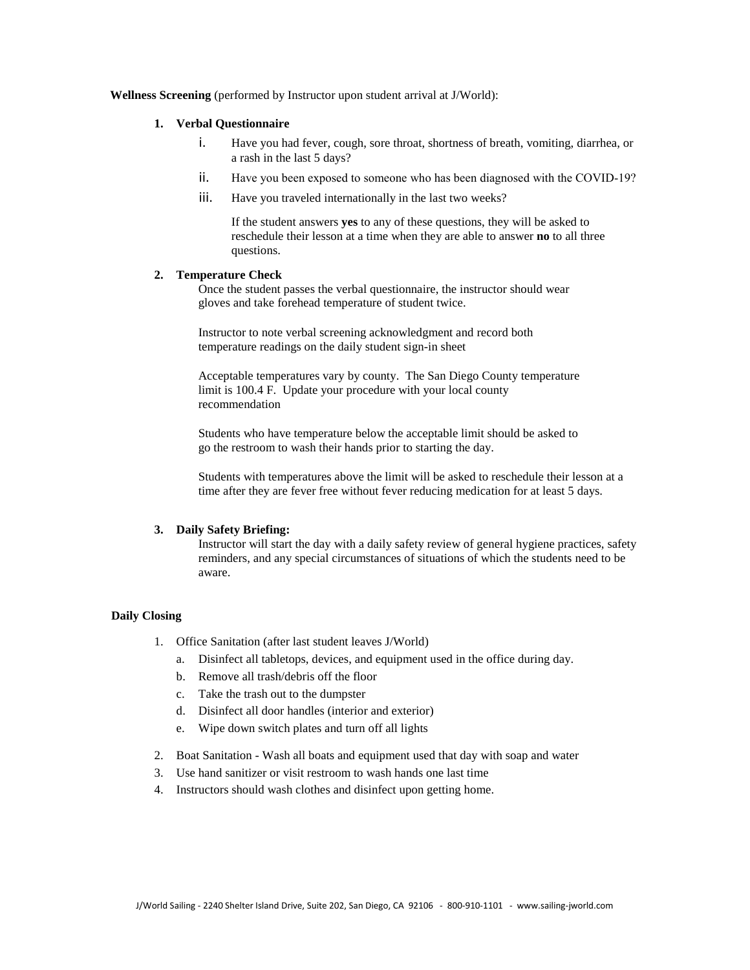## **Wellness Screening** (performed by Instructor upon student arrival at J/World):

## **1. Verbal Questionnaire**

- i. Have you had fever, cough, sore throat, shortness of breath, vomiting, diarrhea, or a rash in the last 5 days?
- ii. Have you been exposed to someone who has been diagnosed with the COVID‐19?
- iii. Have you traveled internationally in the last two weeks?

If the student answers **yes** to any of these questions, they will be asked to reschedule their lesson at a time when they are able to answer **no** to all three questions.

#### **2. Temperature Check**

Once the student passes the verbal questionnaire, the instructor should wear gloves and take forehead temperature of student twice.

Instructor to note verbal screening acknowledgment and record both temperature readings on the daily student sign-in sheet

Acceptable temperatures vary by county. The San Diego County temperature limit is 100.4 F. Update your procedure with your local county recommendation

Students who have temperature below the acceptable limit should be asked to go the restroom to wash their hands prior to starting the day.

Students with temperatures above the limit will be asked to reschedule their lesson at a time after they are fever free without fever reducing medication for at least 5 days.

#### **3. Daily Safety Briefing:**

Instructor will start the day with a daily safety review of general hygiene practices, safety reminders, and any special circumstances of situations of which the students need to be aware.

#### **Daily Closing**

- 1. Office Sanitation (after last student leaves J/World)
	- a. Disinfect all tabletops, devices, and equipment used in the office during day.
	- b. Remove all trash/debris off the floor
	- c. Take the trash out to the dumpster
	- d. Disinfect all door handles (interior and exterior)
	- e. Wipe down switch plates and turn off all lights
- 2. Boat Sanitation Wash all boats and equipment used that day with soap and water
- 3. Use hand sanitizer or visit restroom to wash hands one last time
- 4. Instructors should wash clothes and disinfect upon getting home.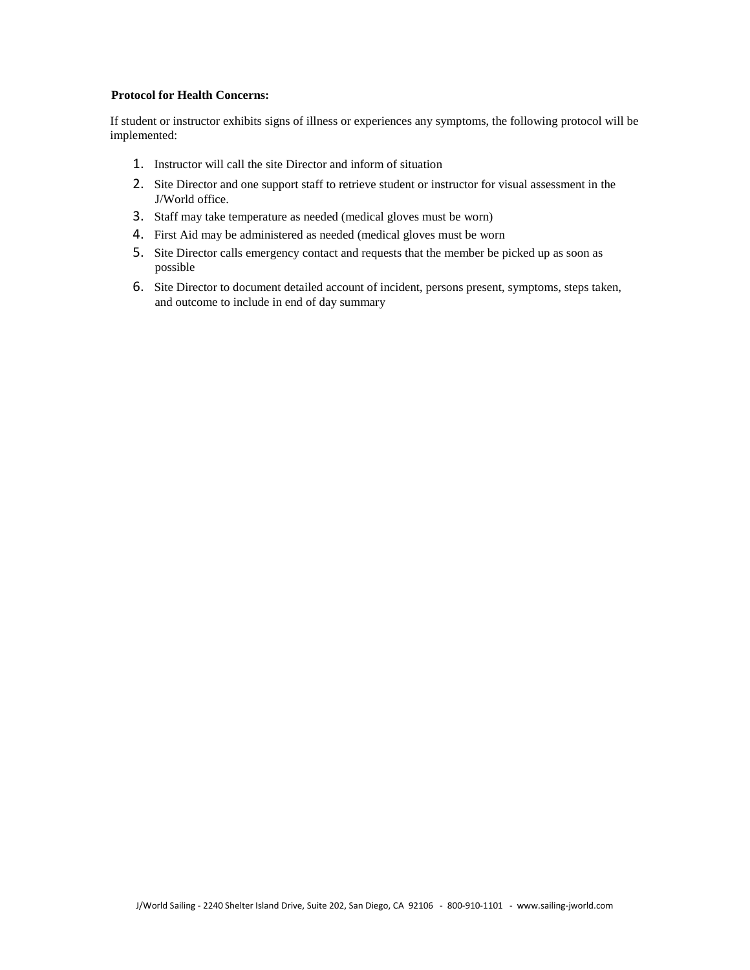# **Protocol for Health Concerns:**

If student or instructor exhibits signs of illness or experiences any symptoms, the following protocol will be implemented:

- 1. Instructor will call the site Director and inform of situation
- 2. Site Director and one support staff to retrieve student or instructor for visual assessment in the J/World office.
- 3. Staff may take temperature as needed (medical gloves must be worn)
- 4. First Aid may be administered as needed (medical gloves must be worn
- 5. Site Director calls emergency contact and requests that the member be picked up as soon as possible
- 6. Site Director to document detailed account of incident, persons present, symptoms, steps taken, and outcome to include in end of day summary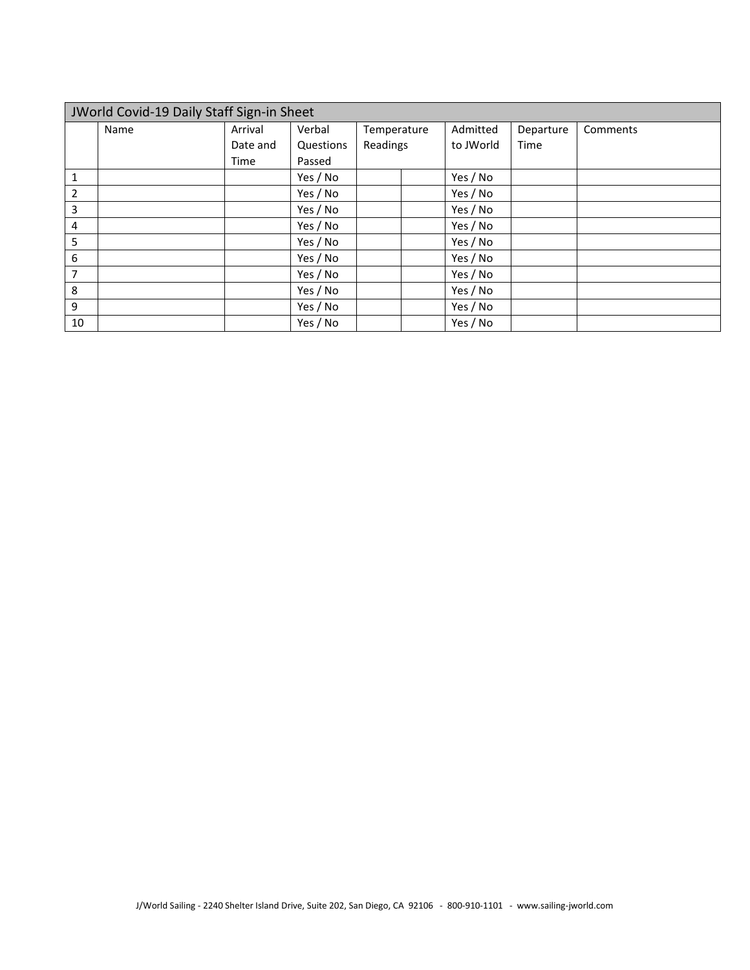| JWorld Covid-19 Daily Staff Sign-in Sheet |      |          |           |             |           |           |          |  |  |  |  |  |
|-------------------------------------------|------|----------|-----------|-------------|-----------|-----------|----------|--|--|--|--|--|
|                                           | Name | Arrival  | Verbal    | Temperature | Admitted  | Departure | Comments |  |  |  |  |  |
|                                           |      | Date and | Questions | Readings    | to JWorld | Time      |          |  |  |  |  |  |
|                                           |      | Time     | Passed    |             |           |           |          |  |  |  |  |  |
| 1                                         |      |          | Yes / No  |             | Yes / No  |           |          |  |  |  |  |  |
| 2                                         |      |          | Yes / No  |             | Yes / No  |           |          |  |  |  |  |  |
| 3                                         |      |          | Yes / No  |             | Yes / No  |           |          |  |  |  |  |  |
| 4                                         |      |          | Yes / No  |             | Yes / No  |           |          |  |  |  |  |  |
| 5                                         |      |          | Yes / No  |             | Yes / No  |           |          |  |  |  |  |  |
| 6                                         |      |          | Yes / No  |             | Yes / No  |           |          |  |  |  |  |  |
| 7                                         |      |          | Yes / No  |             | Yes / No  |           |          |  |  |  |  |  |
| 8                                         |      |          | Yes / No  |             | Yes / No  |           |          |  |  |  |  |  |
| 9                                         |      |          | Yes / No  |             | Yes / No  |           |          |  |  |  |  |  |
| 10                                        |      |          | Yes / No  |             | Yes / No  |           |          |  |  |  |  |  |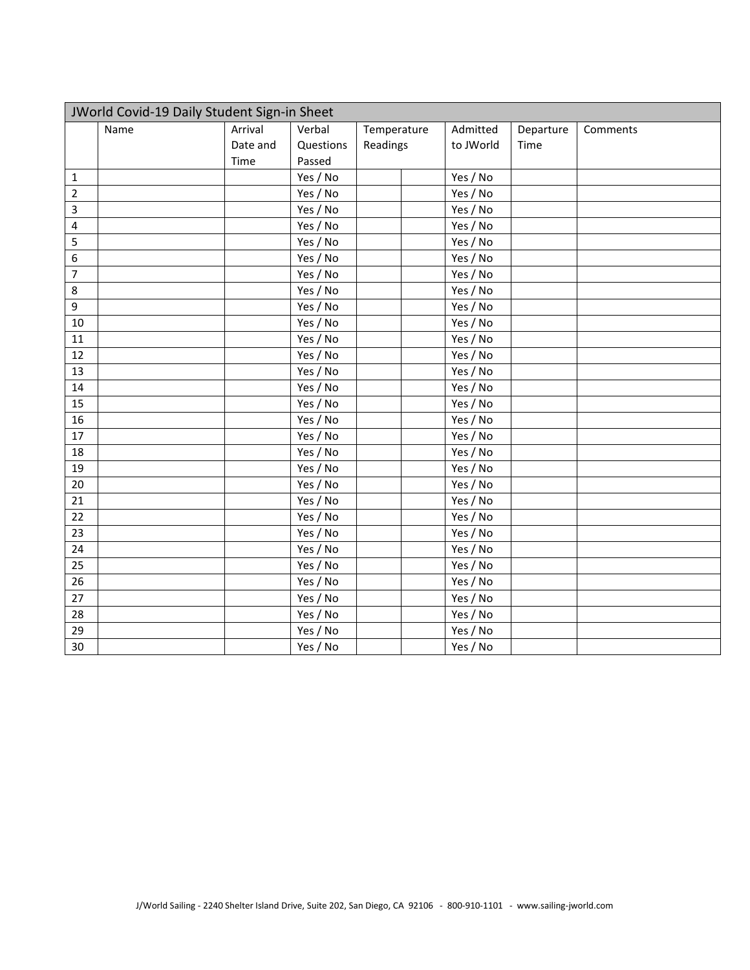| JWorld Covid-19 Daily Student Sign-in Sheet |      |          |           |             |  |           |           |          |  |  |
|---------------------------------------------|------|----------|-----------|-------------|--|-----------|-----------|----------|--|--|
|                                             | Name | Arrival  | Verbal    | Temperature |  | Admitted  | Departure | Comments |  |  |
|                                             |      | Date and | Questions | Readings    |  | to JWorld | Time      |          |  |  |
|                                             |      | Time     | Passed    |             |  |           |           |          |  |  |
| $\mathbf{1}$                                |      |          | Yes / No  |             |  | Yes / No  |           |          |  |  |
| $\overline{2}$                              |      |          | Yes / No  |             |  | Yes / No  |           |          |  |  |
| 3                                           |      |          | Yes / No  |             |  | Yes / No  |           |          |  |  |
| $\overline{4}$                              |      |          | Yes / No  |             |  | Yes / No  |           |          |  |  |
| 5                                           |      |          | Yes / No  |             |  | Yes / No  |           |          |  |  |
| 6                                           |      |          | Yes / No  |             |  | Yes / No  |           |          |  |  |
| $\overline{7}$                              |      |          | Yes / No  |             |  | Yes / No  |           |          |  |  |
| 8                                           |      |          | Yes / No  |             |  | Yes / No  |           |          |  |  |
| 9                                           |      |          | Yes / No  |             |  | Yes / No  |           |          |  |  |
| 10                                          |      |          | Yes / No  |             |  | Yes / No  |           |          |  |  |
| 11                                          |      |          | Yes / No  |             |  | Yes / No  |           |          |  |  |
| 12                                          |      |          | Yes / No  |             |  | Yes / No  |           |          |  |  |
| 13                                          |      |          | Yes / No  |             |  | Yes / No  |           |          |  |  |
| 14                                          |      |          | Yes / No  |             |  | Yes / No  |           |          |  |  |
| 15                                          |      |          | Yes / No  |             |  | Yes / No  |           |          |  |  |
| 16                                          |      |          | Yes / No  |             |  | Yes / No  |           |          |  |  |
| 17                                          |      |          | Yes / No  |             |  | Yes / No  |           |          |  |  |
| 18                                          |      |          | Yes / No  |             |  | Yes / No  |           |          |  |  |
| 19                                          |      |          | Yes / No  |             |  | Yes / No  |           |          |  |  |
| 20                                          |      |          | Yes / No  |             |  | Yes / No  |           |          |  |  |
| 21                                          |      |          | Yes / No  |             |  | Yes / No  |           |          |  |  |
| 22                                          |      |          | Yes / No  |             |  | Yes / No  |           |          |  |  |
| 23                                          |      |          | Yes / No  |             |  | Yes / No  |           |          |  |  |
| 24                                          |      |          | Yes / No  |             |  | Yes / No  |           |          |  |  |
| 25                                          |      |          | Yes / No  |             |  | Yes / No  |           |          |  |  |
| 26                                          |      |          | Yes / No  |             |  | Yes / No  |           |          |  |  |
| 27                                          |      |          | Yes / No  |             |  | Yes / No  |           |          |  |  |
| 28                                          |      |          | Yes / No  |             |  | Yes / No  |           |          |  |  |
| 29                                          |      |          | Yes / No  |             |  | Yes / No  |           |          |  |  |
| 30                                          |      |          | Yes / No  |             |  | Yes / No  |           |          |  |  |